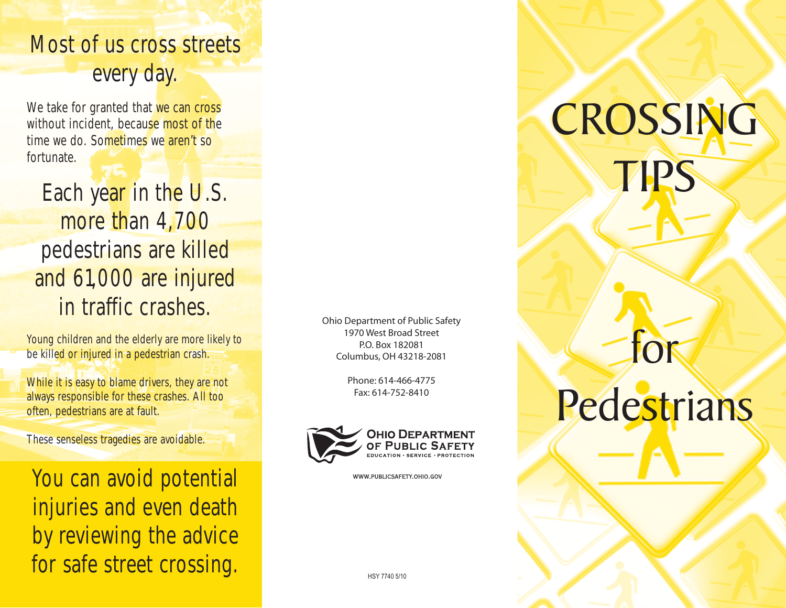### Most of us cross streets every day.

We take for granted that we can cross without incident, because most of the time we do. Sometimes we aren't so fortunate.

Each year in the U.S. more than 4,700 pedestrians are killed and 61,000 are injured in traffic crashes.

Young children and the elderly are more likely to be killed or injured in a pedestrian crash.

While it is easy to blame drivers, they are not always responsible for these crashes. All too often, pedestrians are at fault.

These senseless tragedies are avoidable.

You can avoid potential injuries and even death by reviewing the advice for safe street crossing.

Ohio Department of Public Safety 1970 West Broad Street P.O. Box 182081 Columbus, OH 43218-2081

> Phone: 614-466-4775 Fax: 614-752-8410



WWW.PUBLICSAFETY.OHIO.GOV

# CROSSING TIPS

## Pedestrians

for